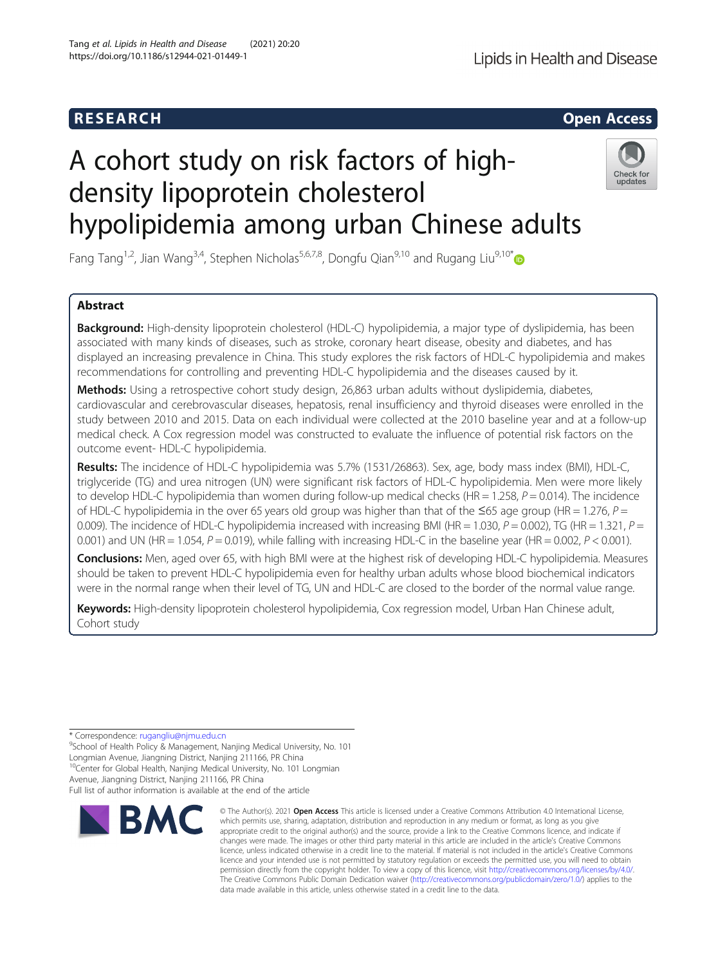# A cohort study on risk factors of highdensity lipoprotein cholesterol hypolipidemia among urban Chinese adults

Fang Tang<sup>1,2</sup>, Jian Wang<sup>3,4</sup>, Stephen Nicholas<sup>5,6,7,8</sup>, Dongfu Qian<sup>9,10</sup> and Rugang Liu<sup>9,10[\\*](http://orcid.org/0000-0002-4270-9507)</sup>

# Abstract

Background: High-density lipoprotein cholesterol (HDL-C) hypolipidemia, a major type of dyslipidemia, has been associated with many kinds of diseases, such as stroke, coronary heart disease, obesity and diabetes, and has displayed an increasing prevalence in China. This study explores the risk factors of HDL-C hypolipidemia and makes recommendations for controlling and preventing HDL-C hypolipidemia and the diseases caused by it.

Methods: Using a retrospective cohort study design, 26,863 urban adults without dyslipidemia, diabetes, cardiovascular and cerebrovascular diseases, hepatosis, renal insufficiency and thyroid diseases were enrolled in the study between 2010 and 2015. Data on each individual were collected at the 2010 baseline year and at a follow-up medical check. A Cox regression model was constructed to evaluate the influence of potential risk factors on the outcome event- HDL-C hypolipidemia.

Results: The incidence of HDL-C hypolipidemia was 5.7% (1531/26863). Sex, age, body mass index (BMI), HDL-C, triglyceride (TG) and urea nitrogen (UN) were significant risk factors of HDL-C hypolipidemia. Men were more likely to develop HDL-C hypolipidemia than women during follow-up medical checks (HR = 1.258,  $P = 0.014$ ). The incidence of HDL-C hypolipidemia in the over 65 years old group was higher than that of the  $\leq$ 65 age group (HR = 1.276, P = 0.009). The incidence of HDL-C hypolipidemia increased with increasing BMI (HR = 1.030,  $P = 0.002$ ), TG (HR = 1.321,  $P =$ 0.001) and UN (HR = 1.054,  $P = 0.019$ ), while falling with increasing HDL-C in the baseline year (HR = 0.002,  $P < 0.001$ ).

Conclusions: Men, aged over 65, with high BMI were at the highest risk of developing HDL-C hypolipidemia. Measures should be taken to prevent HDL-C hypolipidemia even for healthy urban adults whose blood biochemical indicators were in the normal range when their level of TG, UN and HDL-C are closed to the border of the normal value range.

Keywords: High-density lipoprotein cholesterol hypolipidemia, Cox regression model, Urban Han Chinese adult, Cohort study

\* Correspondence: [rugangliu@njmu.edu.cn](mailto:rugangliu@njmu.edu.cn) <sup>9</sup>

**BMC** 

<sup>9</sup>School of Health Policy & Management, Nanjing Medical University, No. 101 Longmian Avenue, Jiangning District, Nanjing 211166, PR China <sup>10</sup>Center for Global Health, Nanjing Medical University, No. 101 Longmian Avenue, Jiangning District, Nanjing 211166, PR China

Full list of author information is available at the end of the article



data made available in this article, unless otherwise stated in a credit line to the data.

© The Author(s), 2021 **Open Access** This article is licensed under a Creative Commons Attribution 4.0 International License,



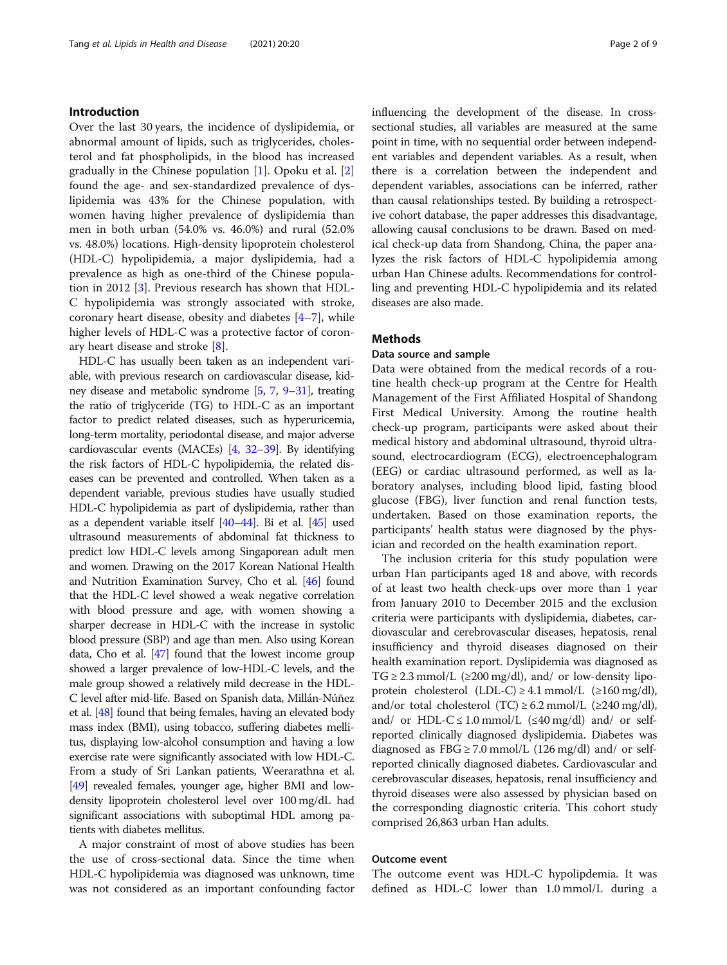# Introduction

Over the last 30 years, the incidence of dyslipidemia, or abnormal amount of lipids, such as triglycerides, cholesterol and fat phospholipids, in the blood has increased gradually in the Chinese population [[1\]](#page-6-0). Opoku et al. [\[2](#page-6-0)] found the age- and sex-standardized prevalence of dyslipidemia was 43% for the Chinese population, with women having higher prevalence of dyslipidemia than men in both urban (54.0% vs. 46.0%) and rural (52.0% vs. 48.0%) locations. High-density lipoprotein cholesterol (HDL-C) hypolipidemia, a major dyslipidemia, had a prevalence as high as one-third of the Chinese population in 2012 [[3\]](#page-6-0). Previous research has shown that HDL-C hypolipidemia was strongly associated with stroke, coronary heart disease, obesity and diabetes [\[4](#page-6-0)–[7](#page-6-0)], while higher levels of HDL-C was a protective factor of coronary heart disease and stroke [[8\]](#page-6-0).

HDL-C has usually been taken as an independent variable, with previous research on cardiovascular disease, kidney disease and metabolic syndrome [\[5,](#page-6-0) [7,](#page-6-0) [9](#page-6-0)–[31\]](#page-7-0), treating the ratio of triglyceride (TG) to HDL-C as an important factor to predict related diseases, such as hyperuricemia, long-term mortality, periodontal disease, and major adverse cardiovascular events (MACEs) [\[4,](#page-6-0) [32](#page-7-0)–[39\]](#page-7-0). By identifying the risk factors of HDL-C hypolipidemia, the related diseases can be prevented and controlled. When taken as a dependent variable, previous studies have usually studied HDL-C hypolipidemia as part of dyslipidemia, rather than as a dependent variable itself [\[40](#page-7-0)–[44](#page-7-0)]. Bi et al. [[45](#page-7-0)] used ultrasound measurements of abdominal fat thickness to predict low HDL-C levels among Singaporean adult men and women. Drawing on the 2017 Korean National Health and Nutrition Examination Survey, Cho et al. [[46](#page-7-0)] found that the HDL-C level showed a weak negative correlation with blood pressure and age, with women showing a sharper decrease in HDL-C with the increase in systolic blood pressure (SBP) and age than men. Also using Korean data, Cho et al. [\[47\]](#page-7-0) found that the lowest income group showed a larger prevalence of low-HDL-C levels, and the male group showed a relatively mild decrease in the HDL-C level after mid-life. Based on Spanish data, Millán-Núñez et al. [[48](#page-7-0)] found that being females, having an elevated body mass index (BMI), using tobacco, suffering diabetes mellitus, displaying low-alcohol consumption and having a low exercise rate were significantly associated with low HDL-C. From a study of Sri Lankan patients, Weerarathna et al. [[49](#page-7-0)] revealed females, younger age, higher BMI and lowdensity lipoprotein cholesterol level over 100 mg/dL had significant associations with suboptimal HDL among patients with diabetes mellitus.

A major constraint of most of above studies has been the use of cross-sectional data. Since the time when HDL-C hypolipidemia was diagnosed was unknown, time was not considered as an important confounding factor influencing the development of the disease. In crosssectional studies, all variables are measured at the same point in time, with no sequential order between independent variables and dependent variables. As a result, when there is a correlation between the independent and dependent variables, associations can be inferred, rather than causal relationships tested. By building a retrospective cohort database, the paper addresses this disadvantage, allowing causal conclusions to be drawn. Based on medical check-up data from Shandong, China, the paper analyzes the risk factors of HDL-C hypolipidemia among urban Han Chinese adults. Recommendations for controlling and preventing HDL-C hypolipidemia and its related diseases are also made.

# **Methods**

# Data source and sample

Data were obtained from the medical records of a routine health check-up program at the Centre for Health Management of the First Affiliated Hospital of Shandong First Medical University. Among the routine health check-up program, participants were asked about their medical history and abdominal ultrasound, thyroid ultrasound, electrocardiogram (ECG), electroencephalogram (EEG) or cardiac ultrasound performed, as well as laboratory analyses, including blood lipid, fasting blood glucose (FBG), liver function and renal function tests, undertaken. Based on those examination reports, the participants' health status were diagnosed by the physician and recorded on the health examination report.

The inclusion criteria for this study population were urban Han participants aged 18 and above, with records of at least two health check-ups over more than 1 year from January 2010 to December 2015 and the exclusion criteria were participants with dyslipidemia, diabetes, cardiovascular and cerebrovascular diseases, hepatosis, renal insufficiency and thyroid diseases diagnosed on their health examination report. Dyslipidemia was diagnosed as TG  $\geq$  2.3 mmol/L ( $\geq$ 200 mg/dl), and/ or low-density lipoprotein cholesterol  $(LDL-C) \geq 4.1$  mmol/L  $(\geq 160$  mg/dl), and/or total cholesterol (TC)  $\geq$  6.2 mmol/L ( $\geq$ 240 mg/dl), and/ or HDL-C  $\leq$  1.0 mmol/L ( $\leq$ 40 mg/dl) and/ or selfreported clinically diagnosed dyslipidemia. Diabetes was diagnosed as  $FBG \ge 7.0 \text{ mmol/L}$  (126 mg/dl) and/ or selfreported clinically diagnosed diabetes. Cardiovascular and cerebrovascular diseases, hepatosis, renal insufficiency and thyroid diseases were also assessed by physician based on the corresponding diagnostic criteria. This cohort study comprised 26,863 urban Han adults.

## Outcome event

The outcome event was HDL-C hypolipdemia. It was defined as HDL-C lower than 1.0 mmol/L during a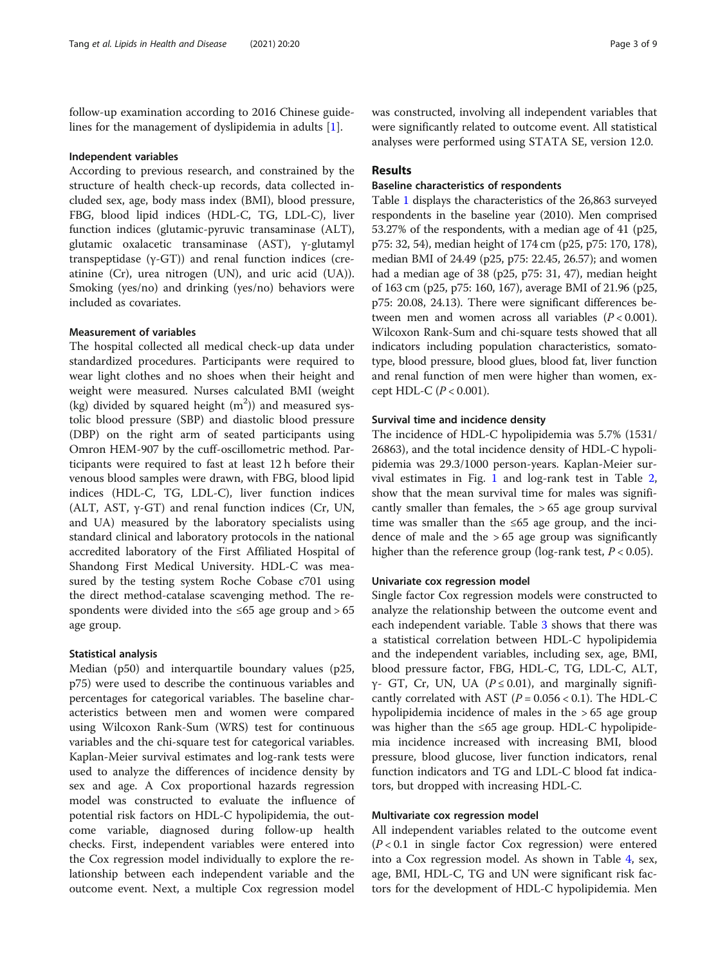follow-up examination according to 2016 Chinese guidelines for the management of dyslipidemia in adults [[1\]](#page-6-0).

#### Independent variables

According to previous research, and constrained by the structure of health check-up records, data collected included sex, age, body mass index (BMI), blood pressure, FBG, blood lipid indices (HDL-C, TG, LDL-C), liver function indices (glutamic-pyruvic transaminase (ALT), glutamic oxalacetic transaminase (AST), γ-glutamyl transpeptidase (γ-GT)) and renal function indices (creatinine (Cr), urea nitrogen (UN), and uric acid (UA)). Smoking (yes/no) and drinking (yes/no) behaviors were included as covariates.

# Measurement of variables

The hospital collected all medical check-up data under standardized procedures. Participants were required to wear light clothes and no shoes when their height and weight were measured. Nurses calculated BMI (weight (kg) divided by squared height  $(m<sup>2</sup>)$ ) and measured systolic blood pressure (SBP) and diastolic blood pressure (DBP) on the right arm of seated participants using Omron HEM-907 by the cuff-oscillometric method. Participants were required to fast at least 12 h before their venous blood samples were drawn, with FBG, blood lipid indices (HDL-C, TG, LDL-C), liver function indices (ALT, AST,  $\gamma$ -GT) and renal function indices (Cr, UN, and UA) measured by the laboratory specialists using standard clinical and laboratory protocols in the national accredited laboratory of the First Affiliated Hospital of Shandong First Medical University. HDL-C was measured by the testing system Roche Cobase c701 using the direct method-catalase scavenging method. The respondents were divided into the  $\leq 65$  age group and  $> 65$ age group.

### Statistical analysis

Median (p50) and interquartile boundary values (p25, p75) were used to describe the continuous variables and percentages for categorical variables. The baseline characteristics between men and women were compared using Wilcoxon Rank-Sum (WRS) test for continuous variables and the chi-square test for categorical variables. Kaplan-Meier survival estimates and log-rank tests were used to analyze the differences of incidence density by sex and age. A Cox proportional hazards regression model was constructed to evaluate the influence of potential risk factors on HDL-C hypolipidemia, the outcome variable, diagnosed during follow-up health checks. First, independent variables were entered into the Cox regression model individually to explore the relationship between each independent variable and the outcome event. Next, a multiple Cox regression model was constructed, involving all independent variables that were significantly related to outcome event. All statistical analyses were performed using STATA SE, version 12.0.

# Results

# Baseline characteristics of respondents

Table [1](#page-3-0) displays the characteristics of the 26,863 surveyed respondents in the baseline year (2010). Men comprised 53.27% of the respondents, with a median age of 41 (p25, p75: 32, 54), median height of 174 cm (p25, p75: 170, 178), median BMI of 24.49 (p25, p75: 22.45, 26.57); and women had a median age of 38 (p25, p75: 31, 47), median height of 163 cm (p25, p75: 160, 167), average BMI of 21.96 (p25, p75: 20.08, 24.13). There were significant differences between men and women across all variables  $(P < 0.001)$ . Wilcoxon Rank-Sum and chi-square tests showed that all indicators including population characteristics, somatotype, blood pressure, blood glues, blood fat, liver function and renal function of men were higher than women, except HDL-C ( $P < 0.001$ ).

#### Survival time and incidence density

The incidence of HDL-C hypolipidemia was 5.7% (1531/ 26863), and the total incidence density of HDL-C hypolipidemia was 29.3/1000 person-years. Kaplan-Meier survival estimates in Fig. [1](#page-3-0) and log-rank test in Table [2](#page-4-0), show that the mean survival time for males was significantly smaller than females, the  $> 65$  age group survival time was smaller than the ≤65 age group, and the incidence of male and the  $> 65$  age group was significantly higher than the reference group (log-rank test,  $P < 0.05$ ).

#### Univariate cox regression model

Single factor Cox regression models were constructed to analyze the relationship between the outcome event and each independent variable. Table [3](#page-4-0) shows that there was a statistical correlation between HDL-C hypolipidemia and the independent variables, including sex, age, BMI, blood pressure factor, FBG, HDL-C, TG, LDL-C, ALT, γ- GT, Cr, UN, UA ( $P \le 0.01$ ), and marginally significantly correlated with AST ( $P = 0.056 < 0.1$ ). The HDL-C hypolipidemia incidence of males in the > 65 age group was higher than the ≤65 age group. HDL-C hypolipidemia incidence increased with increasing BMI, blood pressure, blood glucose, liver function indicators, renal function indicators and TG and LDL-C blood fat indicators, but dropped with increasing HDL-C.

# Multivariate cox regression model

All independent variables related to the outcome event  $(P < 0.1$  in single factor Cox regression) were entered into a Cox regression model. As shown in Table [4,](#page-5-0) sex, age, BMI, HDL-C, TG and UN were significant risk factors for the development of HDL-C hypolipidemia. Men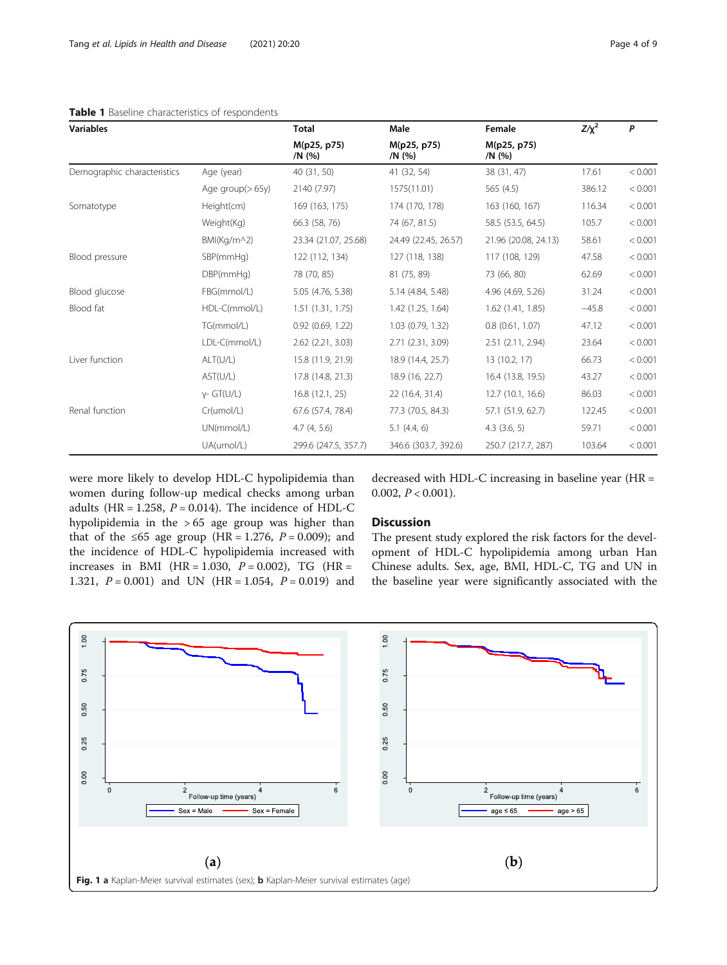<span id="page-3-0"></span>

| <b>Variables</b>            |                    | <b>Total</b>          | Male                  | Female                | $Z/\chi^2$ | P       |
|-----------------------------|--------------------|-----------------------|-----------------------|-----------------------|------------|---------|
|                             |                    | M(p25, p75)<br>/N (%) | M(p25, p75)<br>/N (%) | M(p25, p75)<br>/N (%) |            |         |
| Demographic characteristics | Age (year)         | 40 (31, 50)           | 41 (32, 54)           | 38 (31, 47)           | 17.61      | < 0.001 |
|                             | Age group $(>65y)$ | 2140 (7.97)           | 1575(11.01)           | 565(4.5)              | 386.12     | < 0.001 |
| Somatotype                  | Height(cm)         | 169 (163, 175)        | 174 (170, 178)        | 163 (160, 167)        | 116.34     | < 0.001 |
|                             | Weight(Kg)         | 66.3 (58, 76)         | 74 (67, 81.5)         | 58.5 (53.5, 64.5)     | 105.7      | < 0.001 |
|                             | BMI(Kg/m^2)        | 23.34 (21.07, 25.68)  | 24.49 (22.45, 26.57)  | 21.96 (20.08, 24.13)  | 58.61      | < 0.001 |
| Blood pressure              | SBP(mmHg)          | 122 (112, 134)        | 127 (118, 138)        | 117 (108, 129)        | 47.58      | < 0.001 |
|                             | DBP(mmHq)          | 78 (70, 85)           | 81 (75, 89)           | 73 (66, 80)           | 62.69      | < 0.001 |
| Blood glucose               | FBG(mmol/L)        | 5.05 (4.76, 5.38)     | 5.14 (4.84, 5.48)     | 4.96 (4.69, 5.26)     | 31.24      | < 0.001 |
| Blood fat                   | HDL-C(mmol/L)      | 1.51(1.31, 1.75)      | 1.42 (1.25, 1.64)     | $1.62$ $(1.41, 1.85)$ | $-45.8$    | < 0.001 |
|                             | TG(mmol/L)         | $0.92$ $(0.69, 1.22)$ | 1.03 (0.79, 1.32)     | 0.8(0.61, 1.07)       | 47.12      | < 0.001 |
|                             | LDL-C(mmol/L)      | 2.62 (2.21, 3.03)     | 2.71 (2.31, 3.09)     | 2.51 (2.11, 2.94)     | 23.64      | < 0.001 |
| Liver function              | ALT(U/L)           | 15.8 (11.9, 21.9)     | 18.9 (14.4, 25.7)     | 13 (10.2, 17)         | 66.73      | < 0.001 |
|                             | AST(U/L)           | 17.8 (14.8, 21.3)     | 18.9 (16, 22.7)       | 16.4 (13.8, 19.5)     | 43.27      | < 0.001 |
|                             | $y - GT(U/L)$      | 16.8 (12.1, 25)       | 22 (16.4, 31.4)       | 12.7 (10.1, 16.6)     | 86.03      | < 0.001 |
| Renal function              | Cr(umol/L)         | 67.6 (57.4, 78.4)     | 77.3 (70.5, 84.3)     | 57.1 (51.9, 62.7)     | 122.45     | < 0.001 |
|                             | UN(mmol/L)         | 4.7(4, 5.6)           | $5.1$ (4.4, 6)        | $4.3$ $(3.6, 5)$      | 59.71      | < 0.001 |
|                             | UA(umol/L)         | 299.6 (247.5, 357.7)  | 346.6 (303.7, 392.6)  | 250.7 (217.7, 287)    | 103.64     | < 0.001 |

were more likely to develop HDL-C hypolipidemia than women during follow-up medical checks among urban adults (HR = 1.258,  $P = 0.014$ ). The incidence of HDL-C hypolipidemia in the > 65 age group was higher than that of the ≤65 age group (HR = 1.276,  $P = 0.009$ ); and the incidence of HDL-C hypolipidemia increased with increases in BMI (HR = 1.030,  $P = 0.002$ ), TG (HR = 1.321,  $P = 0.001$ ) and UN (HR = 1.054,  $P = 0.019$ ) and

decreased with HDL-C increasing in baseline year (HR = 0.002,  $P < 0.001$ ).

# **Discussion**

The present study explored the risk factors for the development of HDL-C hypolipidemia among urban Han Chinese adults. Sex, age, BMI, HDL-C, TG and UN in the baseline year were significantly associated with the

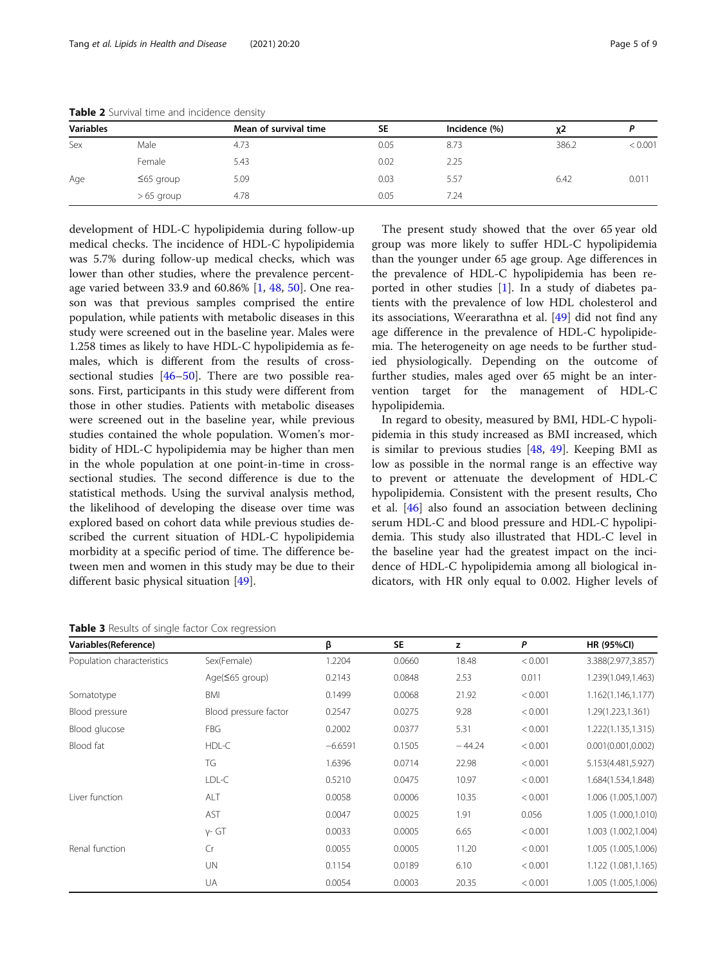| <b>Variables</b> |                 | Mean of survival time | <b>SE</b> | Incidence (%) | χ2    |         |
|------------------|-----------------|-----------------------|-----------|---------------|-------|---------|
| Sex              | Male            | 4.73                  | 0.05      | 8.73          | 386.2 | < 0.001 |
|                  | Female          | 5.43                  | 0.02      | 2.25          |       |         |
| Age              | $\leq 65$ group | 5.09                  | 0.03      | 5.57          | 6.42  | 0.011   |
|                  | $>65$ group     | 4.78                  | 0.05      | 7.24          |       |         |

<span id="page-4-0"></span>Table 2 Survival time and incidence density

development of HDL-C hypolipidemia during follow-up medical checks. The incidence of HDL-C hypolipidemia was 5.7% during follow-up medical checks, which was lower than other studies, where the prevalence percentage varied between 33.9 and 60.86% [[1,](#page-6-0) [48,](#page-7-0) [50\]](#page-7-0). One reason was that previous samples comprised the entire population, while patients with metabolic diseases in this study were screened out in the baseline year. Males were 1.258 times as likely to have HDL-C hypolipidemia as females, which is different from the results of crosssectional studies  $[46–50]$  $[46–50]$  $[46–50]$  $[46–50]$ . There are two possible reasons. First, participants in this study were different from those in other studies. Patients with metabolic diseases were screened out in the baseline year, while previous studies contained the whole population. Women's morbidity of HDL-C hypolipidemia may be higher than men in the whole population at one point-in-time in crosssectional studies. The second difference is due to the statistical methods. Using the survival analysis method, the likelihood of developing the disease over time was explored based on cohort data while previous studies described the current situation of HDL-C hypolipidemia morbidity at a specific period of time. The difference between men and women in this study may be due to their different basic physical situation [[49](#page-7-0)].

The present study showed that the over 65 year old group was more likely to suffer HDL-C hypolipidemia than the younger under 65 age group. Age differences in the prevalence of HDL-C hypolipidemia has been reported in other studies [\[1](#page-6-0)]. In a study of diabetes patients with the prevalence of low HDL cholesterol and its associations, Weerarathna et al. [[49\]](#page-7-0) did not find any age difference in the prevalence of HDL-C hypolipidemia. The heterogeneity on age needs to be further studied physiologically. Depending on the outcome of further studies, males aged over 65 might be an intervention target for the management of HDL-C hypolipidemia.

In regard to obesity, measured by BMI, HDL-C hypolipidemia in this study increased as BMI increased, which is similar to previous studies [[48](#page-7-0), [49\]](#page-7-0). Keeping BMI as low as possible in the normal range is an effective way to prevent or attenuate the development of HDL-C hypolipidemia. Consistent with the present results, Cho et al. [[46](#page-7-0)] also found an association between declining serum HDL-C and blood pressure and HDL-C hypolipidemia. This study also illustrated that HDL-C level in the baseline year had the greatest impact on the incidence of HDL-C hypolipidemia among all biological indicators, with HR only equal to 0.002. Higher levels of

Table 3 Results of single factor Cox regression

| Variables(Reference)       |                       | β         | <b>SE</b> | z        | P       | <b>HR (95%CI)</b>   |
|----------------------------|-----------------------|-----------|-----------|----------|---------|---------------------|
| Population characteristics | Sex(Female)           | 1.2204    | 0.0660    | 18.48    | < 0.001 | 3.388(2.977,3.857)  |
|                            | Age $(565$ group)     | 0.2143    | 0.0848    | 2.53     | 0.011   | 1.239(1.049,1.463)  |
| Somatotype                 | <b>BMI</b>            | 0.1499    | 0.0068    | 21.92    | < 0.001 | 1.162(1.146,1.177)  |
| Blood pressure             | Blood pressure factor | 0.2547    | 0.0275    | 9.28     | < 0.001 | 1.29(1.223,1.361)   |
| Blood glucose              | <b>FBG</b>            | 0.2002    | 0.0377    | 5.31     | < 0.001 | 1.222(1.135,1.315)  |
| Blood fat                  | HDL-C                 | $-6.6591$ | 0.1505    | $-44.24$ | < 0.001 | 0.001(0.001, 0.002) |
|                            | TG                    | 1.6396    | 0.0714    | 22.98    | < 0.001 | 5.153(4.481,5.927)  |
|                            | LDL-C                 | 0.5210    | 0.0475    | 10.97    | < 0.001 | 1.684(1.534,1.848)  |
| Liver function             | ALT                   | 0.0058    | 0.0006    | 10.35    | < 0.001 | 1.006 (1.005,1.007) |
|                            | AST                   | 0.0047    | 0.0025    | 1.91     | 0.056   | 1.005 (1.000,1.010) |
|                            | $y - GT$              | 0.0033    | 0.0005    | 6.65     | < 0.001 | 1.003 (1.002,1.004) |
| Renal function             | Cr                    | 0.0055    | 0.0005    | 11.20    | < 0.001 | 1.005 (1.005,1.006) |
|                            | UN                    | 0.1154    | 0.0189    | 6.10     | < 0.001 | 1.122 (1.081,1.165) |
|                            | UA                    | 0.0054    | 0.0003    | 20.35    | < 0.001 | 1.005 (1.005,1.006) |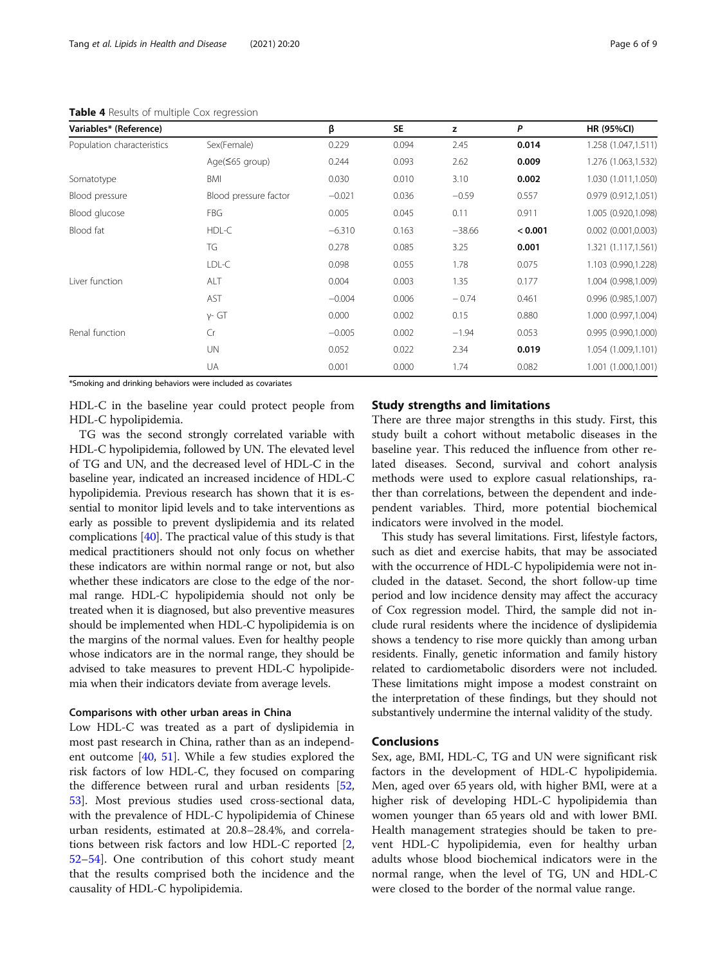| Variables* (Reference)     |                       | β        | <b>SE</b> | z        | P       | <b>HR (95%CI)</b>        |
|----------------------------|-----------------------|----------|-----------|----------|---------|--------------------------|
| Population characteristics | Sex(Female)           | 0.229    | 0.094     | 2.45     | 0.014   | 1.258 (1.047,1.511)      |
|                            | Age(≤65 group)        | 0.244    | 0.093     | 2.62     | 0.009   | 1.276 (1.063,1.532)      |
| Somatotype                 | <b>BMI</b>            | 0.030    | 0.010     | 3.10     | 0.002   | 1.030 (1.011,1.050)      |
| Blood pressure             | Blood pressure factor | $-0.021$ | 0.036     | $-0.59$  | 0.557   | 0.979 (0.912,1.051)      |
| Blood glucose              | <b>FBG</b>            | 0.005    | 0.045     | 0.11     | 0.911   | 1.005 (0.920,1.098)      |
| Blood fat                  | HDL-C                 | $-6.310$ | 0.163     | $-38.66$ | < 0.001 | $0.002$ $(0.001, 0.003)$ |
|                            | TG                    | 0.278    | 0.085     | 3.25     | 0.001   | 1.321 (1.117,1.561)      |
|                            | LDL-C                 | 0.098    | 0.055     | 1.78     | 0.075   | 1.103 (0.990,1.228)      |
| Liver function             | ALT                   | 0.004    | 0.003     | 1.35     | 0.177   | 1.004 (0.998,1.009)      |
|                            | <b>AST</b>            | $-0.004$ | 0.006     | $-0.74$  | 0.461   | 0.996 (0.985,1.007)      |
|                            | $y - GT$              | 0.000    | 0.002     | 0.15     | 0.880   | 1.000 (0.997,1.004)      |
| Renal function             | Cr                    | $-0.005$ | 0.002     | $-1.94$  | 0.053   | 0.995 (0.990,1.000)      |
|                            | <b>UN</b>             | 0.052    | 0.022     | 2.34     | 0.019   | 1.054 (1.009,1.101)      |
|                            | UA                    | 0.001    | 0.000     | 1.74     | 0.082   | 1.001 (1.000,1.001)      |

<span id="page-5-0"></span>Table 4 Results of multiple Cox regression

\*Smoking and drinking behaviors were included as covariates

HDL-C in the baseline year could protect people from HDL-C hypolipidemia.

TG was the second strongly correlated variable with HDL-C hypolipidemia, followed by UN. The elevated level of TG and UN, and the decreased level of HDL-C in the baseline year, indicated an increased incidence of HDL-C hypolipidemia. Previous research has shown that it is essential to monitor lipid levels and to take interventions as early as possible to prevent dyslipidemia and its related complications [\[40\]](#page-7-0). The practical value of this study is that medical practitioners should not only focus on whether these indicators are within normal range or not, but also whether these indicators are close to the edge of the normal range. HDL-C hypolipidemia should not only be treated when it is diagnosed, but also preventive measures should be implemented when HDL-C hypolipidemia is on the margins of the normal values. Even for healthy people whose indicators are in the normal range, they should be advised to take measures to prevent HDL-C hypolipidemia when their indicators deviate from average levels.

# Comparisons with other urban areas in China

Low HDL-C was treated as a part of dyslipidemia in most past research in China, rather than as an independent outcome [\[40](#page-7-0), [51](#page-7-0)]. While a few studies explored the risk factors of low HDL-C, they focused on comparing the difference between rural and urban residents [[52](#page-7-0), [53\]](#page-8-0). Most previous studies used cross-sectional data, with the prevalence of HDL-C hypolipidemia of Chinese urban residents, estimated at 20.8–28.4%, and correlations between risk factors and low HDL-C reported [\[2](#page-6-0), [52](#page-7-0)–[54](#page-8-0)]. One contribution of this cohort study meant that the results comprised both the incidence and the causality of HDL-C hypolipidemia.

# Study strengths and limitations

There are three major strengths in this study. First, this study built a cohort without metabolic diseases in the baseline year. This reduced the influence from other related diseases. Second, survival and cohort analysis methods were used to explore casual relationships, rather than correlations, between the dependent and independent variables. Third, more potential biochemical indicators were involved in the model.

This study has several limitations. First, lifestyle factors, such as diet and exercise habits, that may be associated with the occurrence of HDL-C hypolipidemia were not included in the dataset. Second, the short follow-up time period and low incidence density may affect the accuracy of Cox regression model. Third, the sample did not include rural residents where the incidence of dyslipidemia shows a tendency to rise more quickly than among urban residents. Finally, genetic information and family history related to cardiometabolic disorders were not included. These limitations might impose a modest constraint on the interpretation of these findings, but they should not substantively undermine the internal validity of the study.

#### Conclusions

Sex, age, BMI, HDL-C, TG and UN were significant risk factors in the development of HDL-C hypolipidemia. Men, aged over 65 years old, with higher BMI, were at a higher risk of developing HDL-C hypolipidemia than women younger than 65 years old and with lower BMI. Health management strategies should be taken to prevent HDL-C hypolipidemia, even for healthy urban adults whose blood biochemical indicators were in the normal range, when the level of TG, UN and HDL-C were closed to the border of the normal value range.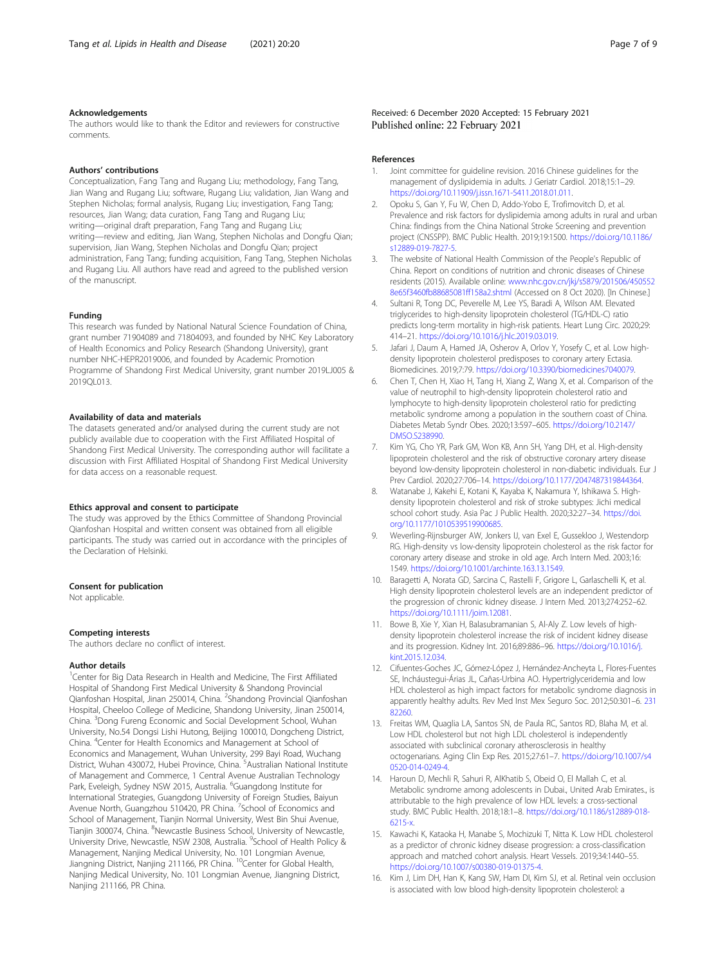#### <span id="page-6-0"></span>Acknowledgements

The authors would like to thank the Editor and reviewers for constructive comments.

# Authors' contributions

Conceptualization, Fang Tang and Rugang Liu; methodology, Fang Tang, Jian Wang and Rugang Liu; software, Rugang Liu; validation, Jian Wang and Stephen Nicholas; formal analysis, Rugang Liu; investigation, Fang Tang; resources, Jian Wang; data curation, Fang Tang and Rugang Liu; writing—original draft preparation, Fang Tang and Rugang Liu; writing—review and editing, Jian Wang, Stephen Nicholas and Dongfu Qian; supervision, Jian Wang, Stephen Nicholas and Dongfu Qian; project administration, Fang Tang; funding acquisition, Fang Tang, Stephen Nicholas and Rugang Liu. All authors have read and agreed to the published version of the manuscript.

#### Funding

This research was funded by National Natural Science Foundation of China, grant number 71904089 and 71804093, and founded by NHC Key Laboratory of Health Economics and Policy Research (Shandong University), grant number NHC-HEPR2019006, and founded by Academic Promotion Programme of Shandong First Medical University, grant number 2019LJ005 & 2019QL013.

#### Availability of data and materials

The datasets generated and/or analysed during the current study are not publicly available due to cooperation with the First Affiliated Hospital of Shandong First Medical University. The corresponding author will facilitate a discussion with First Affiliated Hospital of Shandong First Medical University for data access on a reasonable request.

#### Ethics approval and consent to participate

The study was approved by the Ethics Committee of Shandong Provincial Qianfoshan Hospital and written consent was obtained from all eligible participants. The study was carried out in accordance with the principles of the Declaration of Helsinki.

#### Consent for publication

Not applicable.

#### Competing interests

The authors declare no conflict of interest.

#### Author details

<sup>1</sup>Center for Big Data Research in Health and Medicine, The First Affiliated Hospital of Shandong First Medical University & Shandong Provincial Qianfoshan Hospital, Jinan 250014, China. <sup>2</sup>Shandong Provincial Qianfoshan Hospital, Cheeloo College of Medicine, Shandong University, Jinan 250014, China. <sup>3</sup> Dong Fureng Economic and Social Development School, Wuhan University, No.54 Dongsi Lishi Hutong, Beijing 100010, Dongcheng District, China. <sup>4</sup> Center for Health Economics and Management at School of Economics and Management, Wuhan University, 299 Bayi Road, Wuchang District, Wuhan 430072, Hubei Province, China. <sup>5</sup>Australian National Institute of Management and Commerce, 1 Central Avenue Australian Technology Park, Eveleigh, Sydney NSW 2015, Australia. <sup>6</sup>Guangdong Institute for International Strategies, Guangdong University of Foreign Studies, Baiyun Avenue North, Guangzhou 510420, PR China. <sup>7</sup>School of Economics and School of Management, Tianjin Normal University, West Bin Shui Avenue, Tianjin 300074, China. <sup>8</sup>Newcastle Business School, University of Newcastle,<br>University Drive, Newcastle, NSW 2308, Australia. <sup>9</sup>School of Health Policy & Management, Nanjing Medical University, No. 101 Longmian Avenue, Jiangning District, Nanjing 211166, PR China. <sup>10</sup>Center for Global Health, Nanjing Medical University, No. 101 Longmian Avenue, Jiangning District, Nanjing 211166, PR China.

#### References

- 1. Joint committee for guideline revision. 2016 Chinese guidelines for the management of dyslipidemia in adults. J Geriatr Cardiol. 2018;15:1–29. <https://doi.org/10.11909/j.issn.1671-5411.2018.01.011>.
- 2. Opoku S, Gan Y, Fu W, Chen D, Addo-Yobo E, Trofimovitch D, et al. Prevalence and risk factors for dyslipidemia among adults in rural and urban China: findings from the China National Stroke Screening and prevention project (CNSSPP). BMC Public Health. 2019;19:1500. [https://doi.org/10.1186/](https://doi.org/10.1186/s12889-019-7827-5) [s12889-019-7827-5.](https://doi.org/10.1186/s12889-019-7827-5)
- 3. The website of National Health Commission of the People's Republic of China. Report on conditions of nutrition and chronic diseases of Chinese residents (2015). Available online: [www.nhc.gov.cn/jkj/s5879/201506/450552](http://www.nhc.gov.cn/jkj/s5879/201506/4505528e65f3460fb88685081ff158a2.shtml) [8e65f3460fb88685081ff158a2.shtml](http://www.nhc.gov.cn/jkj/s5879/201506/4505528e65f3460fb88685081ff158a2.shtml) (Accessed on 8 Oct 2020). [In Chinese.]
- 4. Sultani R, Tong DC, Peverelle M, Lee YS, Baradi A, Wilson AM. Elevated triglycerides to high-density lipoprotein cholesterol (TG/HDL-C) ratio predicts long-term mortality in high-risk patients. Heart Lung Circ. 2020;29: 414–21. <https://doi.org/10.1016/j.hlc.2019.03.019>.
- 5. Jafari J, Daum A, Hamed JA, Osherov A, Orlov Y, Yosefy C, et al. Low highdensity lipoprotein cholesterol predisposes to coronary artery Ectasia. Biomedicines. 2019;7:79. [https://doi.org/10.3390/biomedicines7040079.](https://doi.org/10.3390/biomedicines7040079)
- 6. Chen T, Chen H, Xiao H, Tang H, Xiang Z, Wang X, et al. Comparison of the value of neutrophil to high-density lipoprotein cholesterol ratio and lymphocyte to high-density lipoprotein cholesterol ratio for predicting metabolic syndrome among a population in the southern coast of China. Diabetes Metab Syndr Obes. 2020;13:597–605. [https://doi.org/10.2147/](https://doi.org/10.2147/DMSO.S238990) [DMSO.S238990.](https://doi.org/10.2147/DMSO.S238990)
- 7. Kim YG, Cho YR, Park GM, Won KB, Ann SH, Yang DH, et al. High-density lipoprotein cholesterol and the risk of obstructive coronary artery disease beyond low-density lipoprotein cholesterol in non-diabetic individuals. Eur J Prev Cardiol. 2020;27:706–14. [https://doi.org/10.1177/2047487319844364.](https://doi.org/10.1177/2047487319844364)
- 8. Watanabe J, Kakehi E, Kotani K, Kayaba K, Nakamura Y, Ishikawa S. Highdensity lipoprotein cholesterol and risk of stroke subtypes: Jichi medical school cohort study. Asia Pac J Public Health. 2020;32:27-34. [https://doi.](https://doi.org/10.1177/1010539519900685) [org/10.1177/1010539519900685.](https://doi.org/10.1177/1010539519900685)
- 9. Weverling-Rijnsburger AW, Jonkers IJ, van Exel E, Gussekloo J, Westendorp RG. High-density vs low-density lipoprotein cholesterol as the risk factor for coronary artery disease and stroke in old age. Arch Intern Med. 2003;16: 1549. <https://doi.org/10.1001/archinte.163.13.1549>.
- 10. Baragetti A, Norata GD, Sarcina C, Rastelli F, Grigore L, Garlaschelli K, et al. High density lipoprotein cholesterol levels are an independent predictor of the progression of chronic kidney disease. J Intern Med. 2013;274:252–62. [https://doi.org/10.1111/joim.12081.](https://doi.org/10.1111/joim.12081)
- 11. Bowe B, Xie Y, Xian H, Balasubramanian S, Al-Aly Z. Low levels of highdensity lipoprotein cholesterol increase the risk of incident kidney disease and its progression. Kidney Int. 2016;89:886–96. [https://doi.org/10.1016/j.](https://doi.org/10.1016/j.kint.2015.12.034) [kint.2015.12.034](https://doi.org/10.1016/j.kint.2015.12.034)
- 12. Cifuentes-Goches JC, Gómez-López J, Hernández-Ancheyta L, Flores-Fuentes SE, Incháustegui-Árias JL, Cañas-Urbina AO. Hypertriglyceridemia and low HDL cholesterol as high impact factors for metabolic syndrome diagnosis in apparently healthy adults. Rev Med Inst Mex Seguro Soc. 2012;50:301–6. [231](https://www.ncbi.nlm.nih.gov/pubmed/23182260) [82260.](https://www.ncbi.nlm.nih.gov/pubmed/23182260)
- 13. Freitas WM, Quaglia LA, Santos SN, de Paula RC, Santos RD, Blaha M, et al. Low HDL cholesterol but not high LDL cholesterol is independently associated with subclinical coronary atherosclerosis in healthy octogenarians. Aging Clin Exp Res. 2015;27:61–7. [https://doi.org/10.1007/s4](https://doi.org/10.1007/s40520-014-0249-4) [0520-014-0249-4.](https://doi.org/10.1007/s40520-014-0249-4)
- 14. Haroun D, Mechli R, Sahuri R, AlKhatib S, Obeid O, El Mallah C, et al. Metabolic syndrome among adolescents in Dubai., United Arab Emirates., is attributable to the high prevalence of low HDL levels: a cross-sectional study. BMC Public Health. 2018;18:1–8. [https://doi.org/10.1186/s12889-018-](https://doi.org/10.1186/s12889-018-6215-x) [6215-x.](https://doi.org/10.1186/s12889-018-6215-x)
- 15. Kawachi K, Kataoka H, Manabe S, Mochizuki T, Nitta K. Low HDL cholesterol as a predictor of chronic kidney disease progression: a cross-classification approach and matched cohort analysis. Heart Vessels. 2019;34:1440–55. [https://doi.org/10.1007/s00380-019-01375-4.](https://doi.org/10.1007/s00380-019-01375-4)
- 16. Kim J, Lim DH, Han K, Kang SW, Ham DI, Kim SJ, et al. Retinal vein occlusion is associated with low blood high-density lipoprotein cholesterol: a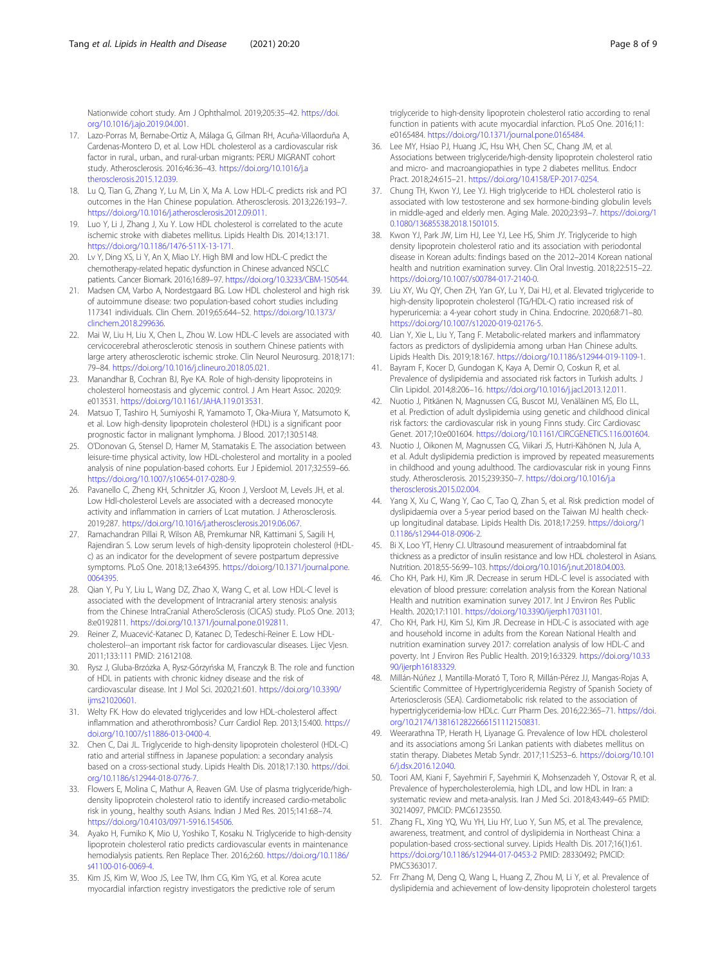<span id="page-7-0"></span>Nationwide cohort study. Am J Ophthalmol. 2019;205:35–42. [https://doi.](https://doi.org/10.1016/j.ajo.2019.04.001) [org/10.1016/j.ajo.2019.04.001](https://doi.org/10.1016/j.ajo.2019.04.001).

- 17. Lazo-Porras M, Bernabe-Ortiz A, Málaga G, Gilman RH, Acuña-Villaorduña A, Cardenas-Montero D, et al. Low HDL cholesterol as a cardiovascular risk factor in rural., urban., and rural-urban migrants: PERU MIGRANT cohort study. Atherosclerosis. 2016;46:36–43. [https://doi.org/10.1016/j.a](https://doi.org/10.1016/j.atherosclerosis.2015.12.039) [therosclerosis.2015.12.039](https://doi.org/10.1016/j.atherosclerosis.2015.12.039).
- 18. Lu Q, Tian G, Zhang Y, Lu M, Lin X, Ma A. Low HDL-C predicts risk and PCI outcomes in the Han Chinese population. Atherosclerosis. 2013;226:193–7. <https://doi.org/10.1016/j.atherosclerosis.2012.09.011>.
- 19. Luo Y, Li J, Zhang J, Xu Y. Low HDL cholesterol is correlated to the acute ischemic stroke with diabetes mellitus. Lipids Health Dis. 2014;13:171. [https://doi.org/10.1186/1476-511X-13-171.](https://doi.org/10.1186/1476-511X-13-171)
- 20. Lv Y, Ding XS, Li Y, An X, Miao LY. High BMI and low HDL-C predict the chemotherapy-related hepatic dysfunction in Chinese advanced NSCLC patients. Cancer Biomark. 2016;16:89–97. <https://doi.org/10.3233/CBM-150544>.
- 21. Madsen CM, Varbo A, Nordestgaard BG, Low HDL cholesterol and high risk of autoimmune disease: two population-based cohort studies including 117341 individuals. Clin Chem. 2019;65:644–52. [https://doi.org/10.1373/](https://doi.org/10.1373/clinchem.2018.299636) [clinchem.2018.299636](https://doi.org/10.1373/clinchem.2018.299636).
- 22. Mai W, Liu H, Liu X, Chen L, Zhou W, Low HDL-C levels are associated with cervicocerebral atherosclerotic stenosis in southern Chinese patients with large artery atherosclerotic ischemic stroke. Clin Neurol Neurosurg. 2018;171: 79–84. <https://doi.org/10.1016/j.clineuro.2018.05.021>.
- 23. Manandhar B, Cochran BJ, Rye KA. Role of high-density lipoproteins in cholesterol homeostasis and glycemic control. J Am Heart Assoc. 2020;9: e013531. <https://doi.org/10.1161/JAHA.119.013531>.
- 24. Matsuo T, Tashiro H, Sumiyoshi R, Yamamoto T, Oka-Miura Y, Matsumoto K, et al. Low high-density lipoprotein cholesterol (HDL) is a significant poor prognostic factor in malignant lymphoma. J Blood. 2017;130:5148.
- 25. O'Donovan G, Stensel D, Hamer M, Stamatakis E. The association between leisure-time physical activity, low HDL-cholesterol and mortality in a pooled analysis of nine population-based cohorts. Eur J Epidemiol. 2017;32:559–66. <https://doi.org/10.1007/s10654-017-0280-9>.
- 26. Pavanello C, Zheng KH, Schnitzler JG, Kroon J, Versloot M, Levels JH, et al. Low Hdl-cholesterol Levels are associated with a decreased monocyte activity and inflammation in carriers of Lcat mutation. J Atherosclerosis. 2019;287. [https://doi.org/10.1016/j.atherosclerosis.2019.06.067.](https://doi.org/10.1016/j.atherosclerosis.2019.06.067)
- 27. Ramachandran Pillai R, Wilson AB, Premkumar NR, Kattimani S, Sagili H, Rajendiran S. Low serum levels of high-density lipoprotein cholesterol (HDLc) as an indicator for the development of severe postpartum depressive symptoms. PLoS One. 2018;13:e64395. [https://doi.org/10.1371/journal.pone.](https://doi.org/10.1371/journal.pone.0064395) [0064395.](https://doi.org/10.1371/journal.pone.0064395)
- 28. Qian Y, Pu Y, Liu L, Wang DZ, Zhao X, Wang C, et al. Low HDL-C level is associated with the development of Intracranial artery stenosis: analysis from the Chinese IntraCranial AtheroSclerosis (CICAS) study. PLoS One. 2013; 8:e0192811. [https://doi.org/10.1371/journal.pone.0192811.](https://doi.org/10.1371/journal.pone.0192811)
- 29. Reiner Z, Muacević-Katanec D, Katanec D, Tedeschi-Reiner E. Low HDLcholesterol--an important risk factor for cardiovascular diseases. Lijec Vjesn. 2011;133:111 PMID: 21612108.
- 30. Rysz J, Gluba-Brzózka A, Rysz-Górzyńska M, Franczyk B. The role and function of HDL in patients with chronic kidney disease and the risk of cardiovascular disease. Int J Mol Sci. 2020;21:601. [https://doi.org/10.3390/](https://doi.org/10.3390/ijms21020601) [ijms21020601](https://doi.org/10.3390/ijms21020601).
- 31. Welty FK. How do elevated triglycerides and low HDL-cholesterol affect inflammation and atherothrombosis? Curr Cardiol Rep. 2013;15:400. [https://](https://doi.org/10.1007/s11886-013-0400-4) [doi.org/10.1007/s11886-013-0400-4](https://doi.org/10.1007/s11886-013-0400-4).
- 32. Chen C, Dai JL. Triglyceride to high-density lipoprotein cholesterol (HDL-C) ratio and arterial stiffness in Japanese population: a secondary analysis based on a cross-sectional study. Lipids Health Dis. 2018;17:130. [https://doi.](https://doi.org/10.1186/s12944-018-0776-7) [org/10.1186/s12944-018-0776-7](https://doi.org/10.1186/s12944-018-0776-7).
- 33. Flowers E, Molina C, Mathur A, Reaven GM. Use of plasma triglyceride/highdensity lipoprotein cholesterol ratio to identify increased cardio-metabolic risk in young., healthy south Asians. Indian J Med Res. 2015;141:68–74. [https://doi.org/10.4103/0971-5916.154506.](https://doi.org/10.4103/0971-5916.154506)
- 34. Ayako H, Fumiko K, Mio U, Yoshiko T, Kosaku N. Triglyceride to high-density lipoprotein cholesterol ratio predicts cardiovascular events in maintenance hemodialysis patients. Ren Replace Ther. 2016;2:60. [https://doi.org/10.1186/](https://doi.org/10.1186/s41100-016-0069-4) [s41100-016-0069-4.](https://doi.org/10.1186/s41100-016-0069-4)
- 35. Kim JS, Kim W, Woo JS, Lee TW, Ihm CG, Kim YG, et al. Korea acute myocardial infarction registry investigators the predictive role of serum

triglyceride to high-density lipoprotein cholesterol ratio according to renal function in patients with acute myocardial infarction. PLoS One. 2016;11: e0165484. <https://doi.org/10.1371/journal.pone.0165484>.

- 36. Lee MY, Hsiao PJ, Huang JC, Hsu WH, Chen SC, Chang JM, et al. Associations between triglyceride/high-density lipoprotein cholesterol ratio and micro- and macroangiopathies in type 2 diabetes mellitus. Endocr Pract. 2018;24:615–21. <https://doi.org/10.4158/EP-2017-0254>.
- 37. Chung TH, Kwon YJ, Lee YJ. High triglyceride to HDL cholesterol ratio is associated with low testosterone and sex hormone-binding globulin levels in middle-aged and elderly men. Aging Male. 2020;23:93–7. [https://doi.org/1](https://doi.org/10.1080/13685538.2018.1501015) [0.1080/13685538.2018.1501015.](https://doi.org/10.1080/13685538.2018.1501015)
- 38. Kwon YJ, Park JW, Lim HJ, Lee YJ, Lee HS, Shim JY. Triglyceride to high density lipoprotein cholesterol ratio and its association with periodontal disease in Korean adults: findings based on the 2012–2014 Korean national health and nutrition examination survey. Clin Oral Investig. 2018;22:515–22. <https://doi.org/10.1007/s00784-017-2140-0>.
- 39. Liu XY, Wu QY, Chen ZH, Yan GY, Lu Y, Dai HJ, et al. Elevated triglyceride to high-density lipoprotein cholesterol (TG/HDL-C) ratio increased risk of hyperuricemia: a 4-year cohort study in China. Endocrine. 2020;68:71–80. [https://doi.org/10.1007/s12020-019-02176-5.](https://doi.org/10.1007/s12020-019-02176-5)
- 40. Lian Y, Xie L, Liu Y, Tang F. Metabolic-related markers and inflammatory factors as predictors of dyslipidemia among urban Han Chinese adults. Lipids Health Dis. 2019;18:167. [https://doi.org/10.1186/s12944-019-1109-1.](https://doi.org/10.1186/s12944-019-1109-1)
- 41. Bayram F, Kocer D, Gundogan K, Kaya A, Demir O, Coskun R, et al. Prevalence of dyslipidemia and associated risk factors in Turkish adults. J Clin Lipidol. 2014;8:206–16. [https://doi.org/10.1016/j.jacl.2013.12.011.](https://doi.org/10.1016/j.jacl.2013.12.011)
- 42. Nuotio J, Pitkänen N, Magnussen CG, Buscot MJ, Venäläinen MS, Elo LL, et al. Prediction of adult dyslipidemia using genetic and childhood clinical risk factors: the cardiovascular risk in young Finns study. Circ Cardiovasc Genet. 2017;10:e001604. <https://doi.org/10.1161/CIRCGENETICS.116.001604>.
- 43. Nuotio J, Oikonen M, Magnussen CG, Viikari JS, Hutri-Kähönen N, Jula A, et al. Adult dyslipidemia prediction is improved by repeated measurements in childhood and young adulthood. The cardiovascular risk in young Finns study. Atherosclerosis. 2015;239:350–7. [https://doi.org/10.1016/j.a](https://doi.org/10.1016/j.atherosclerosis.2015.02.004) [therosclerosis.2015.02.004](https://doi.org/10.1016/j.atherosclerosis.2015.02.004).
- 44. Yang X, Xu C, Wang Y, Cao C, Tao Q, Zhan S, et al. Risk prediction model of dyslipidaemia over a 5-year period based on the Taiwan MJ health checkup longitudinal database. Lipids Health Dis. 2018;17:259. [https://doi.org/1](https://doi.org/10.1186/s12944-018-0906-2) [0.1186/s12944-018-0906-2.](https://doi.org/10.1186/s12944-018-0906-2)
- 45. Bi X, Loo YT, Henry CJ. Ultrasound measurement of intraabdominal fat thickness as a predictor of insulin resistance and low HDL cholesterol in Asians. Nutrition. 2018;55-56:99–103. <https://doi.org/10.1016/j.nut.2018.04.003>.
- 46. Cho KH, Park HJ, Kim JR. Decrease in serum HDL-C level is associated with elevation of blood pressure: correlation analysis from the Korean National Health and nutrition examination survey 2017. Int J Environ Res Public Health. 2020;17:1101. [https://doi.org/10.3390/ijerph17031101.](https://doi.org/10.3390/ijerph17031101)
- 47. Cho KH, Park HJ, Kim SJ, Kim JR. Decrease in HDL-C is associated with age and household income in adults from the Korean National Health and nutrition examination survey 2017: correlation analysis of low HDL-C and poverty. Int J Environ Res Public Health. 2019;16:3329. [https://doi.org/10.33](https://doi.org/10.3390/ijerph16183329) [90/ijerph16183329](https://doi.org/10.3390/ijerph16183329).
- 48. Millán-Núñez J, Mantilla-Morató T, Toro R, Millán-Pérez JJ, Mangas-Rojas A, Scientific Committee of Hypertriglyceridemia Registry of Spanish Society of Arteriosclerosis (SEA). Cardiometabolic risk related to the association of hypertriglyceridemia-low HDLc. Curr Pharm Des. 2016;22:365–71. [https://doi.](https://doi.org/10.2174/1381612822666151112150831) [org/10.2174/1381612822666151112150831](https://doi.org/10.2174/1381612822666151112150831).
- 49. Weerarathna TP, Herath H, Liyanage G. Prevalence of low HDL cholesterol and its associations among Sri Lankan patients with diabetes mellitus on statin therapy. Diabetes Metab Syndr. 2017;11:S253–6. [https://doi.org/10.101](https://doi.org/10.1016/j.dsx.2016.12.040) [6/j.dsx.2016.12.040](https://doi.org/10.1016/j.dsx.2016.12.040).
- 50. Toori AM, Kiani F, Sayehmiri F, Sayehmiri K, Mohsenzadeh Y, Ostovar R, et al. Prevalence of hypercholesterolemia, high LDL, and low HDL in Iran: a systematic review and meta-analysis. Iran J Med Sci. 2018;43:449–65 PMID: 30214097, PMCID: PMC6123550.
- 51. Zhang FL, Xing YQ, Wu YH, Liu HY, Luo Y, Sun MS, et al. The prevalence, awareness, treatment, and control of dyslipidemia in Northeast China: a population-based cross-sectional survey. Lipids Health Dis. 2017;16(1):61. <https://doi.org/10.1186/s12944-017-0453-2> PMID: 28330492; PMCID: PMC5363017.
- 52. Frr Zhang M, Deng Q, Wang L, Huang Z, Zhou M, Li Y, et al. Prevalence of dyslipidemia and achievement of low-density lipoprotein cholesterol targets